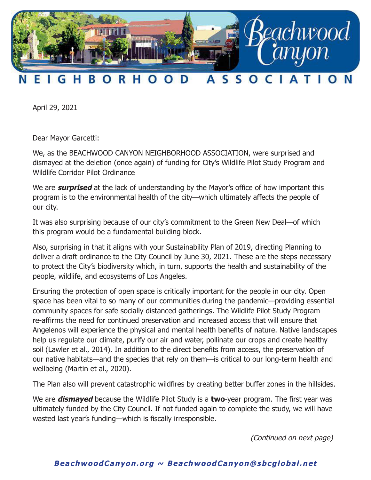

## н B O ASSOCIA F Т G **RHO** D

April 29, 2021

Dear Mayor Garcetti:

We, as the BEACHWOOD CANYON NEIGHBORHOOD ASSOCIATION, were surprised and dismayed at the deletion (once again) of funding for City's Wildlife Pilot Study Program and Wildlife Corridor Pilot Ordinance

We are **surprised** at the lack of understanding by the Mayor's office of how important this program is to the environmental health of the city—which ultimately affects the people of our city.

It was also surprising because of our city's commitment to the Green New Deal—of which this program would be a fundamental building block.

Also, surprising in that it aligns with your Sustainability Plan of 2019, directing Planning to deliver a draft ordinance to the City Council by June 30, 2021. These are the steps necessary to protect the City's biodiversity which, in turn, supports the health and sustainability of the people, wildlife, and ecosystems of Los Angeles.

Ensuring the protection of open space is critically important for the people in our city. Open space has been vital to so many of our communities during the pandemic—providing essential community spaces for safe socially distanced gatherings. The Wildlife Pilot Study Program re-affirms the need for continued preservation and increased access that will ensure that Angelenos will experience the physical and mental health benefits of nature. Native landscapes help us regulate our climate, purify our air and water, pollinate our crops and create healthy soil (Lawler et al., 2014). In addition to the direct benefits from access, the preservation of our native habitats—and the species that rely on them—is critical to our long-term health and wellbeing (Martin et al., 2020).

The Plan also will prevent catastrophic wildfires by creating better buffer zones in the hillsides.

We are **dismayed** because the Wildlife Pilot Study is a **two**-year program. The first year was ultimately funded by the City Council. If not funded again to complete the study, we will have wasted last year's funding—which is fiscally irresponsible.

(Continued on next page)

## **BeachwoodCanyon.org ~ BeachwoodCanyon@sbcglobal.net**